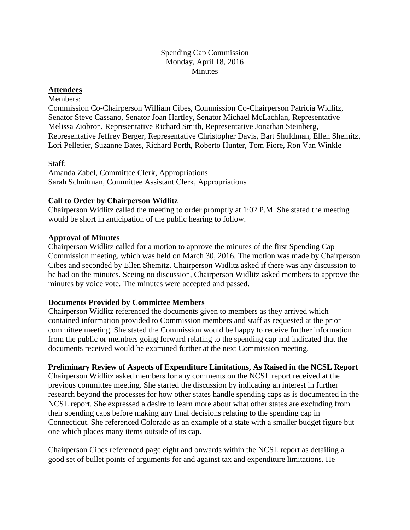## Spending Cap Commission Monday, April 18, 2016 **Minutes**

## **Attendees**

#### Members:

Commission Co-Chairperson William Cibes, Commission Co-Chairperson Patricia Widlitz, Senator Steve Cassano, Senator Joan Hartley, Senator Michael McLachlan, Representative Melissa Ziobron, Representative Richard Smith, Representative Jonathan Steinberg, Representative Jeffrey Berger, Representative Christopher Davis, Bart Shuldman, Ellen Shemitz, Lori Pelletier, Suzanne Bates, Richard Porth, Roberto Hunter, Tom Fiore, Ron Van Winkle

Staff:

Amanda Zabel, Committee Clerk, Appropriations Sarah Schnitman, Committee Assistant Clerk, Appropriations

# **Call to Order by Chairperson Widlitz**

Chairperson Widlitz called the meeting to order promptly at 1:02 P.M. She stated the meeting would be short in anticipation of the public hearing to follow.

## **Approval of Minutes**

Chairperson Widlitz called for a motion to approve the minutes of the first Spending Cap Commission meeting, which was held on March 30, 2016. The motion was made by Chairperson Cibes and seconded by Ellen Shemitz. Chairperson Widlitz asked if there was any discussion to be had on the minutes. Seeing no discussion, Chairperson Widlitz asked members to approve the minutes by voice vote. The minutes were accepted and passed.

### **Documents Provided by Committee Members**

Chairperson Widlitz referenced the documents given to members as they arrived which contained information provided to Commission members and staff as requested at the prior committee meeting. She stated the Commission would be happy to receive further information from the public or members going forward relating to the spending cap and indicated that the documents received would be examined further at the next Commission meeting.

# **Preliminary Review of Aspects of Expenditure Limitations, As Raised in the NCSL Report**

Chairperson Widlitz asked members for any comments on the NCSL report received at the previous committee meeting. She started the discussion by indicating an interest in further research beyond the processes for how other states handle spending caps as is documented in the NCSL report. She expressed a desire to learn more about what other states are excluding from their spending caps before making any final decisions relating to the spending cap in Connecticut. She referenced Colorado as an example of a state with a smaller budget figure but one which places many items outside of its cap.

Chairperson Cibes referenced page eight and onwards within the NCSL report as detailing a good set of bullet points of arguments for and against tax and expenditure limitations. He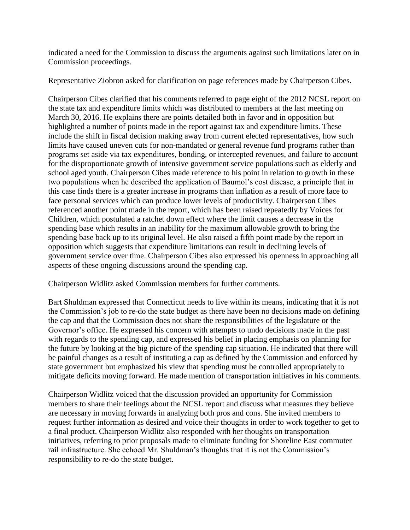indicated a need for the Commission to discuss the arguments against such limitations later on in Commission proceedings.

Representative Ziobron asked for clarification on page references made by Chairperson Cibes.

Chairperson Cibes clarified that his comments referred to page eight of the 2012 NCSL report on the state tax and expenditure limits which was distributed to members at the last meeting on March 30, 2016. He explains there are points detailed both in favor and in opposition but highlighted a number of points made in the report against tax and expenditure limits. These include the shift in fiscal decision making away from current elected representatives, how such limits have caused uneven cuts for non-mandated or general revenue fund programs rather than programs set aside via tax expenditures, bonding, or intercepted revenues, and failure to account for the disproportionate growth of intensive government service populations such as elderly and school aged youth. Chairperson Cibes made reference to his point in relation to growth in these two populations when he described the application of Baumol's cost disease, a principle that in this case finds there is a greater increase in programs than inflation as a result of more face to face personal services which can produce lower levels of productivity. Chairperson Cibes referenced another point made in the report, which has been raised repeatedly by Voices for Children, which postulated a ratchet down effect where the limit causes a decrease in the spending base which results in an inability for the maximum allowable growth to bring the spending base back up to its original level. He also raised a fifth point made by the report in opposition which suggests that expenditure limitations can result in declining levels of government service over time. Chairperson Cibes also expressed his openness in approaching all aspects of these ongoing discussions around the spending cap.

Chairperson Widlitz asked Commission members for further comments.

Bart Shuldman expressed that Connecticut needs to live within its means, indicating that it is not the Commission's job to re-do the state budget as there have been no decisions made on defining the cap and that the Commission does not share the responsibilities of the legislature or the Governor's office. He expressed his concern with attempts to undo decisions made in the past with regards to the spending cap, and expressed his belief in placing emphasis on planning for the future by looking at the big picture of the spending cap situation. He indicated that there will be painful changes as a result of instituting a cap as defined by the Commission and enforced by state government but emphasized his view that spending must be controlled appropriately to mitigate deficits moving forward. He made mention of transportation initiatives in his comments.

Chairperson Widlitz voiced that the discussion provided an opportunity for Commission members to share their feelings about the NCSL report and discuss what measures they believe are necessary in moving forwards in analyzing both pros and cons. She invited members to request further information as desired and voice their thoughts in order to work together to get to a final product. Chairperson Widlitz also responded with her thoughts on transportation initiatives, referring to prior proposals made to eliminate funding for Shoreline East commuter rail infrastructure. She echoed Mr. Shuldman's thoughts that it is not the Commission's responsibility to re-do the state budget.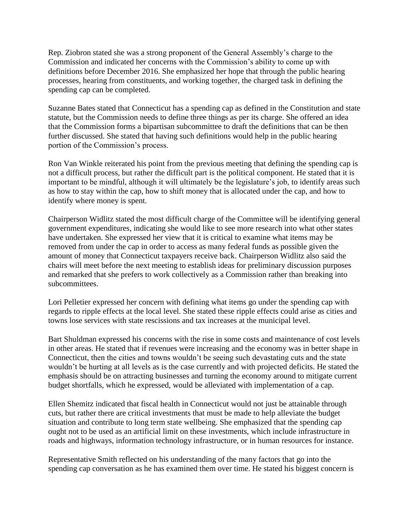Rep. Ziobron stated she was a strong proponent of the General Assembly's charge to the Commission and indicated her concerns with the Commission's ability to come up with definitions before December 2016. She emphasized her hope that through the public hearing processes, hearing from constituents, and working together, the charged task in defining the spending cap can be completed.

Suzanne Bates stated that Connecticut has a spending cap as defined in the Constitution and state statute, but the Commission needs to define three things as per its charge. She offered an idea that the Commission forms a bipartisan subcommittee to draft the definitions that can be then further discussed. She stated that having such definitions would help in the public hearing portion of the Commission's process.

Ron Van Winkle reiterated his point from the previous meeting that defining the spending cap is not a difficult process, but rather the difficult part is the political component. He stated that it is important to be mindful, although it will ultimately be the legislature's job, to identify areas such as how to stay within the cap, how to shift money that is allocated under the cap, and how to identify where money is spent.

Chairperson Widlitz stated the most difficult charge of the Committee will be identifying general government expenditures, indicating she would like to see more research into what other states have undertaken. She expressed her view that it is critical to examine what items may be removed from under the cap in order to access as many federal funds as possible given the amount of money that Connecticut taxpayers receive back. Chairperson Widlitz also said the chairs will meet before the next meeting to establish ideas for preliminary discussion purposes and remarked that she prefers to work collectively as a Commission rather than breaking into subcommittees.

Lori Pelletier expressed her concern with defining what items go under the spending cap with regards to ripple effects at the local level. She stated these ripple effects could arise as cities and towns lose services with state rescissions and tax increases at the municipal level.

Bart Shuldman expressed his concerns with the rise in some costs and maintenance of cost levels in other areas. He stated that if revenues were increasing and the economy was in better shape in Connecticut, then the cities and towns wouldn't be seeing such devastating cuts and the state wouldn't be hurting at all levels as is the case currently and with projected deficits. He stated the emphasis should be on attracting businesses and turning the economy around to mitigate current budget shortfalls, which he expressed, would be alleviated with implementation of a cap.

Ellen Shemitz indicated that fiscal health in Connecticut would not just be attainable through cuts, but rather there are critical investments that must be made to help alleviate the budget situation and contribute to long term state wellbeing. She emphasized that the spending cap ought not to be used as an artificial limit on these investments, which include infrastructure in roads and highways, information technology infrastructure, or in human resources for instance.

Representative Smith reflected on his understanding of the many factors that go into the spending cap conversation as he has examined them over time. He stated his biggest concern is